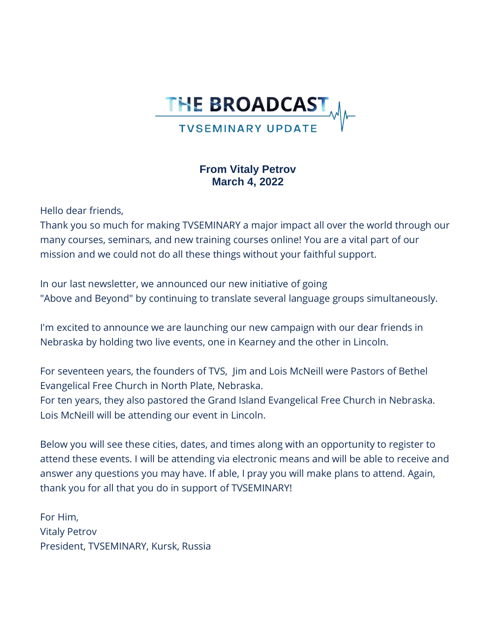

# **From Vitaly Petrov March 4, 2022**

Hello dear friends,

Thank you so much for making TVSEMINARY a major impact all over the world through our many courses, seminars, and new training courses online! You are a vital part of our mission and we could not do all these things without your faithful support.

In our last newsletter, we announced our new initiative of going "Above and Beyond" by continuing to translate several language groups simultaneously.

I'm excited to announce we are launching our new campaign with our dear friends in Nebraska by holding two live events, one in Kearney and the other in Lincoln.

For seventeen years, the founders of TVS, Jim and Lois McNeill were Pastors of Bethel Evangelical Free Church in North Plate, Nebraska.

For ten years, they also pastored the Grand Island Evangelical Free Church in Nebraska. Lois McNeill will be attending our event in Lincoln.

Below you will see these cities, dates, and times along with an opportunity to register to attend these events. I will be attending via electronic means and will be able to receive and answer any questions you may have. If able, I pray you will make plans to attend. Again, thank you for all that you do in support of TVSEMINARY!

For Him, Vitaly Petrov President, TVSEMINARY, Kursk, Russia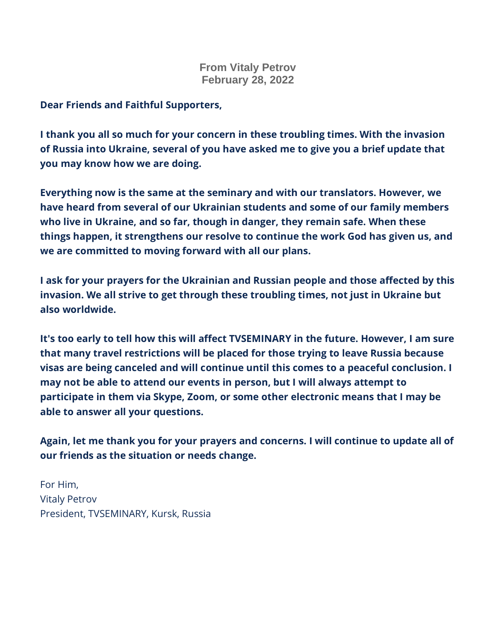# **From Vitaly Petrov February 28, 2022**

**Dear Friends and Faithful Supporters,**

**I thank you all so much for your concern in these troubling times. With the invasion of Russia into Ukraine, several of you have asked me to give you a brief update that you may know how we are doing.**

**Everything now is the same at the seminary and with our translators. However, we have heard from several of our Ukrainian students and some of our family members who live in Ukraine, and so far, though in danger, they remain safe. When these things happen, it strengthens our resolve to continue the work God has given us, and we are committed to moving forward with all our plans.**

**I ask for your prayers for the Ukrainian and Russian people and those affected by this invasion. We all strive to get through these troubling times, not just in Ukraine but also worldwide.**

**It's too early to tell how this will affect TVSEMINARY in the future. However, I am sure that many travel restrictions will be placed for those trying to leave Russia because visas are being canceled and will continue until this comes to a peaceful conclusion. I may not be able to attend our events in person, but I will always attempt to participate in them via Skype, Zoom, or some other electronic means that I may be able to answer all your questions.**

**Again, let me thank you for your prayers and concerns. I will continue to update all of our friends as the situation or needs change.**

For Him, Vitaly Petrov President, TVSEMINARY, Kursk, Russia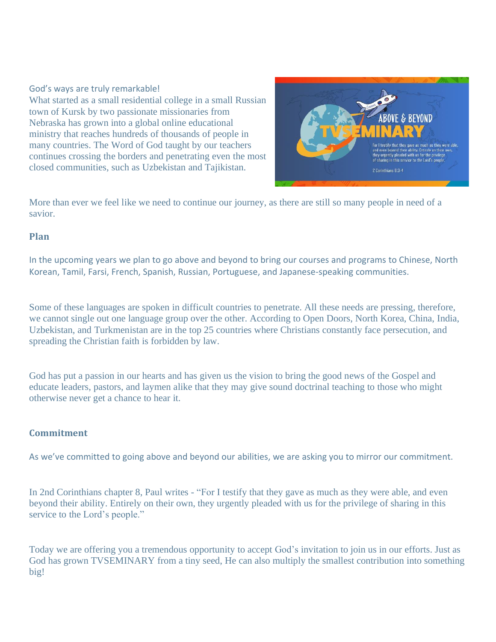### God's ways are truly remarkable! What started as a small residential college in a small Russian town of Kursk by two passionate missionaries from Nebraska has grown into a global online educational ministry that reaches hundreds of thousands of people in many countries. The Word of God taught by our teachers continues crossing the borders and penetrating even the most closed communities, such as Uzbekistan and Tajikistan.



More than ever we feel like we need to continue our journey, as there are still so many people in need of a savior.

## **Plan**

In the upcoming years we plan to go above and beyond to bring our courses and programs to Chinese, North Korean, Tamil, Farsi, French, Spanish, Russian, Portuguese, and Japanese-speaking communities.

Some of these languages are spoken in difficult countries to penetrate. All these needs are pressing, therefore, we cannot single out one language group over the other. According to Open Doors, North Korea, China, India, Uzbekistan, and Turkmenistan are in the top 25 countries where Christians constantly face persecution, and spreading the Christian faith is forbidden by law.

God has put a passion in our hearts and has given us the vision to bring the good news of the Gospel and educate leaders, pastors, and laymen alike that they may give sound doctrinal teaching to those who might otherwise never get a chance to hear it.

#### **Commitment**

As we've committed to going above and beyond our abilities, we are asking you to mirror our commitment.

In 2nd Corinthians chapter 8, Paul writes - "For I testify that they gave as much as they were able, and even beyond their ability. Entirely on their own, they urgently pleaded with us for the privilege of sharing in this service to the Lord's people."

Today we are offering you a tremendous opportunity to accept God's invitation to join us in our efforts. Just as God has grown TVSEMINARY from a tiny seed, He can also multiply the smallest contribution into something big!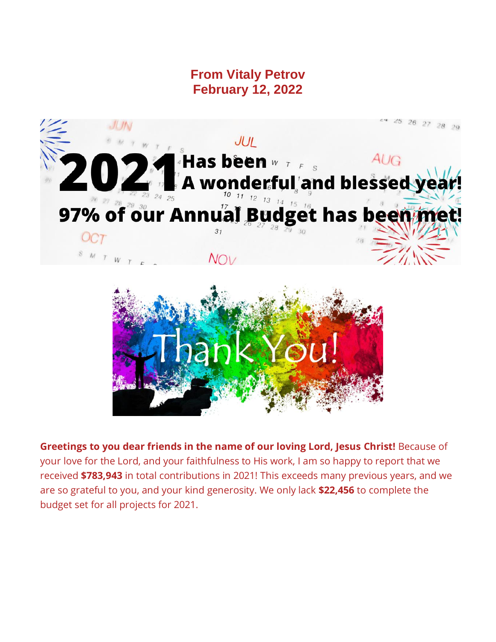**From Vitaly Petrov February 12, 2022**





**Greetings to you dear friends in the name of our loving Lord, Jesus Christ!** Because of your love for the Lord, and your faithfulness to His work, I am so happy to report that we received **\$783,943** in total contributions in 2021! This exceeds many previous years, and we are so grateful to you, and your kind generosity. We only lack **\$22,456** to complete the budget set for all projects for 2021.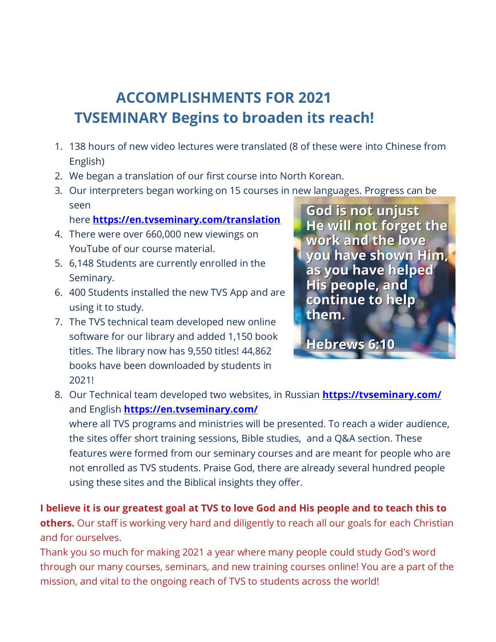# **ACCOMPLISHMENTS FOR 2021 TVSEMINARY Begins to broaden its reach!**

- 1. 138 hours of new video lectures were translated (8 of these were into Chinese from English)
- 2. We began a translation of our first course into North Korean.
- 3. Our interpreters began working on 15 courses in new languages. Progress can be seen

# here **[https://en.tvseminary.com/translation](https://russiadistancelearning.us3.list-manage.com/track/click?u=aa10b3660cf37fa07a8313b35&id=16100f7d18&e=cdf9759167)**

- 4. There were over 660,000 new viewings on YouTube of our course material.
- 5. 6,148 Students are currently enrolled in the Seminary.
- 6. 400 Students installed the new TVS App and are using it to study.
- 7. The TVS technical team developed new online software for our library and added 1,150 book titles. The library now has 9,550 titles! 44,862 books have been downloaded by students in 2021!

God is not unjust He will not forget the work and the love you have shown Him, as you have helped **His people, and** continue to help them.

**Hebrews 6:10** 

8. Our Technical team developed two websites, in Russian **[https://tvseminary.com/](https://russiadistancelearning.us3.list-manage.com/track/click?u=aa10b3660cf37fa07a8313b35&id=0fed3cb3b8&e=cdf9759167)** and English **[https://en.tvseminary.com/](https://russiadistancelearning.us3.list-manage.com/track/click?u=aa10b3660cf37fa07a8313b35&id=fefe9c64f3&e=cdf9759167)**

where all TVS programs and ministries will be presented. To reach a wider audience, the sites offer short training sessions, Bible studies, and a Q&A section. These features were formed from our seminary courses and are meant for people who are not enrolled as TVS students. Praise God, there are already several hundred people using these sites and the Biblical insights they offer.

**I believe it is our greatest goal at TVS to love God and His people and to teach this to others.** Our staff is working very hard and diligently to reach all our goals for each Christian and for ourselves.

Thank you so much for making 2021 a year where many people could study God's word through our many courses, seminars, and new training courses online! You are a part of the mission, and vital to the ongoing reach of TVS to students across the world!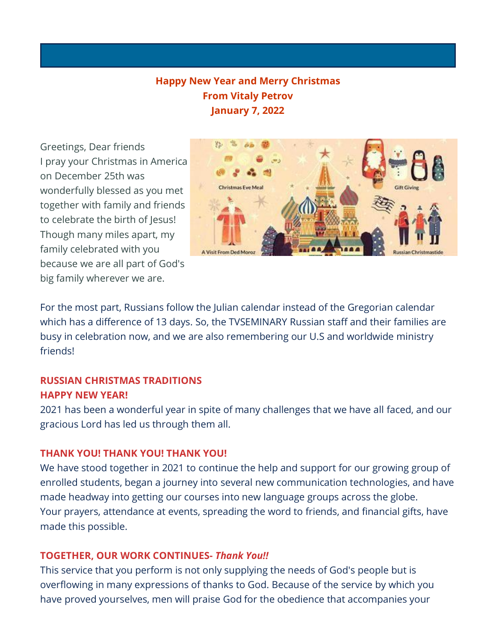# **Happy New Year and Merry Christmas From Vitaly Petrov January 7, 2022**

Greetings, Dear friends I pray your Christmas in America on December 25th was wonderfully blessed as you met together with family and friends to celebrate the birth of Jesus! Though many miles apart, my family celebrated with you because we are all part of God's big family wherever we are.



For the most part, Russians follow the Julian calendar instead of the Gregorian calendar which has a difference of 13 days. So, the TVSEMINARY Russian staff and their families are busy in celebration now, and we are also remembering our U.S and worldwide ministry friends!

# **RUSSIAN CHRISTMAS TRADITIONS HAPPY NEW YEAR!**

2021 has been a wonderful year in spite of many challenges that we have all faced, and our gracious Lord has led us through them all.

## **THANK YOU! THANK YOU! THANK YOU!**

We have stood together in 2021 to continue the help and support for our growing group of enrolled students, began a journey into several new communication technologies, and have made headway into getting our courses into new language groups across the globe. Your prayers, attendance at events, spreading the word to friends, and financial gifts, have made this possible.

## **TOGETHER, OUR WORK CONTINUES-** *Thank You!!*

This service that you perform is not only supplying the needs of God's people but is overflowing in many expressions of thanks to God. Because of the service by which you have proved yourselves, men will praise God for the obedience that accompanies your